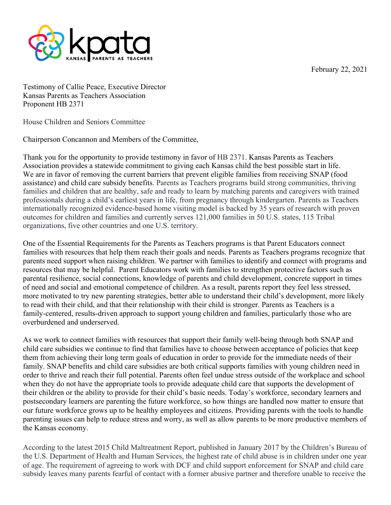February 22, 2021



Testimony of Callie Peace, Executive Director Kansas Parents as Teachers Association Proponent HB 2371

House Children and Seniors Committee

Chairperson Concannon and Members of the Committee,

Thank you for the opportunity to provide testimony in favor of HB 2371. Kansas Parents as Teachers Association provides a statewide commitment to giving each Kansas child the best possible start in life. We are in favor of removing the current barriers that prevent eligible families from receiving SNAP (food assistance) and child care subsidy benefits. Parents as Teachers programs build strong communities, thriving families and children that are healthy, safe and ready to learn by matching parents and caregivers with trained professionals during a child's earliest years in life, from pregnancy through kindergarten. Parents as Teachers internationally recognized evidence-based home visiting model is backed by 35 years of research with proven outcomes for children and families and currently serves 121,000 families in 50 U.S. states, 115 Tribal organizations, five other countries and one U.S. territory.

One of the Essential Requirements for the Parents as Teachers programs is that Parent Educators connect families with resources that help them reach their goals and needs. Parents as Teachers programs recognize that parents need support when raising children. We partner with families to identify and connect with programs and resources that may be helpful. Parent Educators work with families to strengthen protective factors such as parental resilience, social connections, knowledge of parents and child development, concrete support in times of need and social and emotional competence of children. As a result, parents report they feel less stressed, more motivated to try new parenting strategies, better able to understand their child's development, more likely to read with their child, and that their relationship with their child is stronger. Parents as Teachers is a family-centered, results-driven approach to support young children and families, particularly those who are overburdened and underserved.

As we work to connect families with resources that support their family well-being through both SNAP and child care subsidies we continue to find that families have to choose between acceptance of policies that keep them from achieving their long term goals of education in order to provide for the immediate needs of their family. SNAP benefits and child care subsidies are both critical supports families with young children need in order to thrive and reach their full potential. Parents often feel undue stress outside of the workplace and school when they do not have the appropriate tools to provide adequate child care that supports the development of their children or the ability to provide for their child's basic needs. Today's workforce, secondary learners and postsecondary learners are parenting the future workforce, so how things are handled now matter to ensure that our future workforce grows up to be healthy employees and citizens. Providing parents with the tools to handle parenting issues can help to reduce stress and worry, as well as allow parents to be more productive members of the Kansas economy.

According to the latest 2015 Child Maltreatment Report, published in January 2017 by the Children's Bureau of the U.S. Department of Health and Human Services, the highest rate of child abuse is in children under one year of age. The requirement of agreeing to work with DCF and child support enforcement for SNAP and child care subsidy leaves many parents fearful of contact with a former abusive partner and therefore unable to receive the